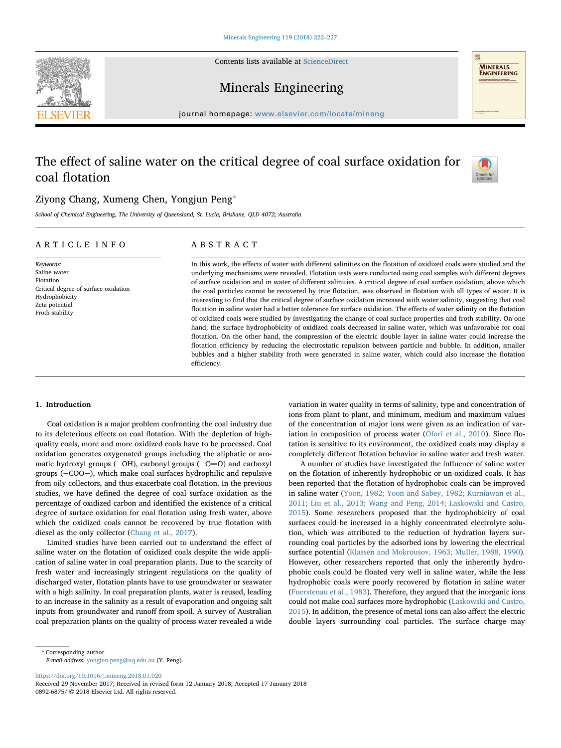Contents lists available at [ScienceDirect](http://www.sciencedirect.com/science/journal/08926875)





Minerals Engineering

journal homepage: [www.elsevier.com/locate/mineng](https://www.elsevier.com/locate/mineng)

# The effect of saline water on the critical degree of coal surface oxidation for coal flotation



## Ziyong Chang, Xumeng Chen, Yongjun Peng<sup>®</sup>

School of Chemical Engineering, The University of Queensland, St. Lucia, Brisbane, QLD 4072, Australia

## ARTICLE INFO

Critical degree of surface oxidation

Keywords: Saline water Flotation

Hydrophobicity Zeta potential Froth stability

ABSTRACT

In this work, the effects of water with different salinities on the flotation of oxidized coals were studied and the underlying mechanisms were revealed. Flotation tests were conducted using coal samples with different degrees of surface oxidation and in water of different salinities. A critical degree of coal surface oxidation, above which the coal particles cannot be recovered by true flotation, was observed in flotation with all types of water. It is interesting to find that the critical degree of surface oxidation increased with water salinity, suggesting that coal flotation in saline water had a better tolerance for surface oxidation. The effects of water salinity on the flotation of oxidized coals were studied by investigating the change of coal surface properties and froth stability. On one hand, the surface hydrophobicity of oxidized coals decreased in saline water, which was unfavorable for coal flotation. On the other hand, the compression of the electric double layer in saline water could increase the flotation efficiency by reducing the electrostatic repulsion between particle and bubble. In addition, smaller bubbles and a higher stability froth were generated in saline water, which could also increase the flotation efficiency.

#### 1. Introduction

Coal oxidation is a major problem confronting the coal industry due to its deleterious effects on coal flotation. With the depletion of highquality coals, more and more oxidized coals have to be processed. Coal oxidation generates oxygenated groups including the aliphatic or aromatic hydroxyl groups  $(-OH)$ , carbonyl groups  $(-C=0)$  and carboxyl groups  $(-COO)$ , which make coal surfaces hydrophilic and repulsive from oily collectors, and thus exacerbate coal flotation. In the previous studies, we have defined the degree of coal surface oxidation as the percentage of oxidized carbon and identified the existence of a critical degree of surface oxidation for coal flotation using fresh water, above which the oxidized coals cannot be recovered by true flotation with diesel as the only collector ([Chang et al., 2017](#page--1-0)).

Limited studies have been carried out to understand the effect of saline water on the flotation of oxidized coals despite the wide application of saline water in coal preparation plants. Due to the scarcity of fresh water and increasingly stringent regulations on the quality of discharged water, flotation plants have to use groundwater or seawater with a high salinity. In coal preparation plants, water is reused, leading to an increase in the salinity as a result of evaporation and ongoing salt inputs from groundwater and runoff from spoil. A survey of Australian coal preparation plants on the quality of process water revealed a wide

variation in water quality in terms of salinity, type and concentration of ions from plant to plant, and minimum, medium and maximum values of the concentration of major ions were given as an indication of variation in composition of process water [\(Ofori et al., 2010\)](#page--1-1). Since flotation is sensitive to its environment, the oxidized coals may display a completely different flotation behavior in saline water and fresh water.

A number of studies have investigated the influence of saline water on the flotation of inherently hydrophobic or un-oxidized coals. It has been reported that the flotation of hydrophobic coals can be improved in saline water [\(Yoon, 1982; Yoon and Sabey, 1982; Kurniawan et al.,](#page--1-2) [2011; Liu et al., 2013; Wang and Peng, 2014; Laskowski and Castro,](#page--1-2) [2015\)](#page--1-2). Some researchers proposed that the hydrophobicity of coal surfaces could be increased in a highly concentrated electrolyte solution, which was attributed to the reduction of hydration layers surrounding coal particles by the adsorbed ions by lowering the electrical surface potential ([Klassen and Mokrousov, 1963; Muller, 1988, 1990](#page--1-3)). However, other researchers reported that only the inherently hydrophobic coals could be floated very well in saline water, while the less hydrophobic coals were poorly recovered by flotation in saline water ([Fuerstenau et al., 1983\)](#page--1-4). Therefore, they argued that the inorganic ions could not make coal surfaces more hydrophobic ([Laskowski and Castro,](#page--1-5) [2015\)](#page--1-5). In addition, the presence of metal ions can also affect the electric double layers surrounding coal particles. The surface charge may

E-mail address: [yongjun.peng@uq.edu.au](mailto:yongjun.peng@uq.edu.au) (Y. Peng).

<https://doi.org/10.1016/j.mineng.2018.01.020>

Received 29 November 2017; Received in revised form 12 January 2018; Accepted 17 January 2018 0892-6875/ © 2018 Elsevier Ltd. All rights reserved.

<span id="page-0-0"></span><sup>⁎</sup> Corresponding author.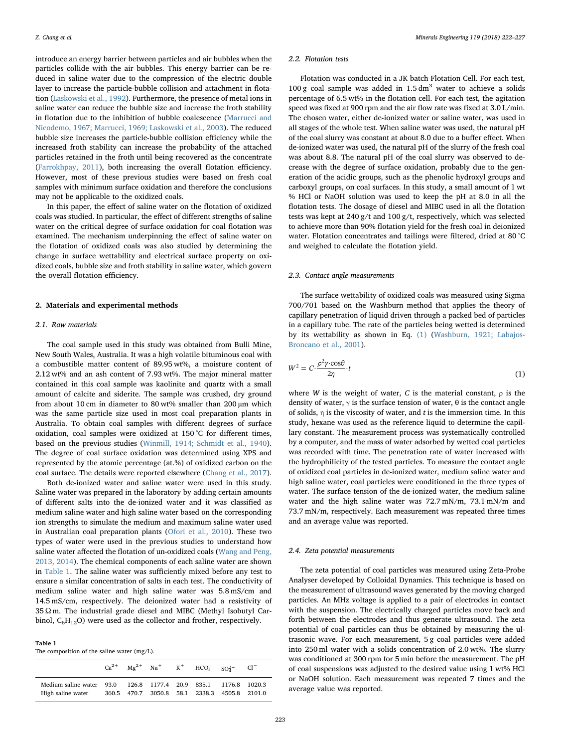introduce an energy barrier between particles and air bubbles when the particles collide with the air bubbles. This energy barrier can be reduced in saline water due to the compression of the electric double layer to increase the particle-bubble collision and attachment in flotation [\(Laskowski et al., 1992\)](#page--1-6). Furthermore, the presence of metal ions in saline water can reduce the bubble size and increase the froth stability in flotation due to the inhibition of bubble coalescence [\(Marrucci and](#page--1-7) [Nicodemo, 1967; Marrucci, 1969; Laskowski et al., 2003](#page--1-7)). The reduced bubble size increases the particle-bubble collision efficiency while the increased froth stability can increase the probability of the attached particles retained in the froth until being recovered as the concentrate ([Farrokhpay, 2011](#page--1-8)), both increasing the overall flotation efficiency. However, most of these previous studies were based on fresh coal samples with minimum surface oxidation and therefore the conclusions may not be applicable to the oxidized coals.

In this paper, the effect of saline water on the flotation of oxidized coals was studied. In particular, the effect of different strengths of saline water on the critical degree of surface oxidation for coal flotation was examined. The mechanism underpinning the effect of saline water on the flotation of oxidized coals was also studied by determining the change in surface wettability and electrical surface property on oxidized coals, bubble size and froth stability in saline water, which govern the overall flotation efficiency.

#### 2. Materials and experimental methods

#### 2.1. Raw materials

The coal sample used in this study was obtained from Bulli Mine, New South Wales, Australia. It was a high volatile bituminous coal with a combustible matter content of 89.95 wt%, a moisture content of 2.12 wt% and an ash content of 7.93 wt%. The major mineral matter contained in this coal sample was kaolinite and quartz with a small amount of calcite and siderite. The sample was crushed, dry ground from about 10 cm in diameter to 80 wt% smaller than 200 µm which was the same particle size used in most coal preparation plants in Australia. To obtain coal samples with different degrees of surface oxidation, coal samples were oxidized at 150 °C for different times, based on the previous studies ([Winmill, 1914; Schmidt et al., 1940](#page--1-9)). The degree of coal surface oxidation was determined using XPS and represented by the atomic percentage (at.%) of oxidized carbon on the coal surface. The details were reported elsewhere [\(Chang et al., 2017](#page--1-0)).

Both de-ionized water and saline water were used in this study. Saline water was prepared in the laboratory by adding certain amounts of different salts into the de-ionized water and it was classified as medium saline water and high saline water based on the corresponding ion strengths to simulate the medium and maximum saline water used in Australian coal preparation plants [\(Ofori et al., 2010\)](#page--1-1). These two types of water were used in the previous studies to understand how saline water affected the flotation of un-oxidized coals [\(Wang and Peng,](#page--1-10) [2013, 2014](#page--1-10)). The chemical components of each saline water are shown in [Table](#page-1-0) 1. The saline water was sufficiently mixed before any test to ensure a similar concentration of salts in each test. The conductivity of medium saline water and high saline water was 5.8 mS/cm and 14.5 mS/cm, respectively. The deionized water had a resistivity of 35 Ω m. The industrial grade diesel and MIBC (Methyl Isobutyl Carbinol,  $C_6H_{12}O$ ) were used as the collector and frother, respectively.

<span id="page-1-0"></span>Table 1

The composition of the saline water (mg/L).

|                                                                                     |  | $Ca^{2+}$ $Mg^{2+}$ $Na^{+}$ $K^{+}$ $HCO_3^ SO_4^{2-}$ |  |  |
|-------------------------------------------------------------------------------------|--|---------------------------------------------------------|--|--|
| Medium saline water 93.0 126.8 1177.4 20.9 835.1 1176.8 1020.3<br>High saline water |  | 360.5 470.7 3050.8 58.1 2338.3 4505.8 2101.0            |  |  |

#### 2.2. Flotation tests

Flotation was conducted in a JK batch Flotation Cell. For each test,  $100 g$  coal sample was added in  $1.5 \text{ dm}^3$  water to achieve a solids percentage of 6.5 wt% in the flotation cell. For each test, the agitation speed was fixed at 900 rpm and the air flow rate was fixed at 3.0 L/min. The chosen water, either de-ionized water or saline water, was used in all stages of the whole test. When saline water was used, the natural pH of the coal slurry was constant at about 8.0 due to a buffer effect. When de-ionized water was used, the natural pH of the slurry of the fresh coal was about 8.8. The natural pH of the coal slurry was observed to decrease with the degree of surface oxidation, probably due to the generation of the acidic groups, such as the phenolic hydroxyl groups and carboxyl groups, on coal surfaces. In this study, a small amount of 1 wt % HCl or NaOH solution was used to keep the pH at 8.0 in all the flotation tests. The dosage of diesel and MIBC used in all the flotation tests was kept at 240 g/t and 100 g/t, respectively, which was selected to achieve more than 90% flotation yield for the fresh coal in deionized water. Flotation concentrates and tailings were filtered, dried at 80 °C and weighed to calculate the flotation yield.

#### 2.3. Contact angle measurements

The surface wettability of oxidized coals was measured using Sigma 700/701 based on the Washburn method that applies the theory of capillary penetration of liquid driven through a packed bed of particles in a capillary tube. The rate of the particles being wetted is determined by its wettability as shown in Eq. [\(1\)](#page-1-1) ([Washburn, 1921; Labajos-](#page--1-11)[Broncano et al., 2001](#page--1-11)).

<span id="page-1-1"></span>
$$
W^2 = C \cdot \frac{\rho^2 \gamma \cdot \cos \theta}{2\eta} \cdot t \tag{1}
$$

where W is the weight of water, C is the material constant,  $\rho$  is the density of water,  $γ$  is the surface tension of water,  $θ$  is the contact angle of solids,  $\eta$  is the viscosity of water, and  $t$  is the immersion time. In this study, hexane was used as the reference liquid to determine the capillary constant. The measurement process was systematically controlled by a computer, and the mass of water adsorbed by wetted coal particles was recorded with time. The penetration rate of water increased with the hydrophilicity of the tested particles. To measure the contact angle of oxidized coal particles in de-ionized water, medium saline water and high saline water, coal particles were conditioned in the three types of water. The surface tension of the de-ionized water, the medium saline water and the high saline water was 72.7 mN/m, 73.1 mN/m and 73.7 mN/m, respectively. Each measurement was repeated three times and an average value was reported.

#### 2.4. Zeta potential measurements

The zeta potential of coal particles was measured using Zeta-Probe Analyser developed by Colloidal Dynamics. This technique is based on the measurement of ultrasound waves generated by the moving charged particles. An MHz voltage is applied to a pair of electrodes in contact with the suspension. The electrically charged particles move back and forth between the electrodes and thus generate ultrasound. The zeta potential of coal particles can thus be obtained by measuring the ultrasonic wave. For each measurement, 5 g coal particles were added into 250 ml water with a solids concentration of 2.0 wt%. The slurry was conditioned at 300 rpm for 5 min before the measurement. The pH of coal suspensions was adjusted to the desired value using 1 wt% HCl or NaOH solution. Each measurement was repeated 7 times and the average value was reported.